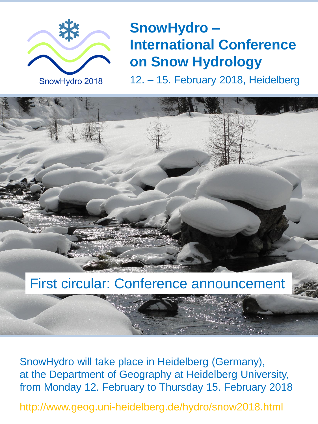

**SnowHydro – International Conference on Snow Hydrology**

12. – 15. February 2018, Heidelberg



First circular: Conference announcement

SnowHydro will take place in Heidelberg (Germany), at the Department of Geography at Heidelberg University, from Monday 12. February to Thursday 15. February 2018

http://www.geog.uni-heidelberg.de/hydro/snow2018.html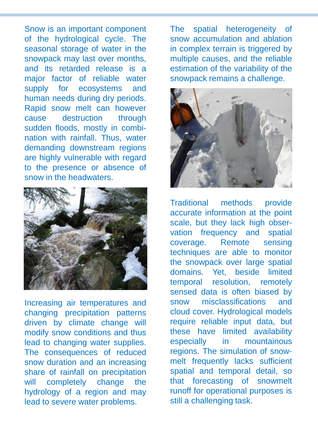Snow is an important component of the hydrological cycle. The seasonal storage of water in the snowpack may last over months, and its retarded release is a major factor of reliable water supply for ecosystems and human needs during dry periods. Rapid snow melt can however cause destruction through sudden floods, mostly in combination with rainfall. Thus, water demanding downstream regions are highly vulnerable with regard to the presence or absence of snow in the headwaters.



Increasing air temperatures and changing precipitation patterns driven by climate change will modify snow conditions and thus lead to changing water supplies. The consequences of reduced snow duration and an increasing share of rainfall on precipitation will completely change the hydrology of a region and may lead to severe water problems.

The spatial heterogeneity of snow accumulation and ablation in complex terrain is triggered by multiple causes, and the reliable estimation of the variability of the snowpack remains a challenge.



Traditional methods provide accurate information at the point scale, but they lack high observation frequency and spatial coverage. Remote sensing techniques are able to monitor the snowpack over large spatial domains. Yet, beside limited temporal resolution, remotely sensed data is often biased by snow misclassifications and cloud cover. Hydrological models require reliable input data, but these have limited availability especially in mountainous regions. The simulation of snowmelt frequently lacks sufficient spatial and temporal detail, so that forecasting of snowmelt runoff for operational purposes is still a challenging task.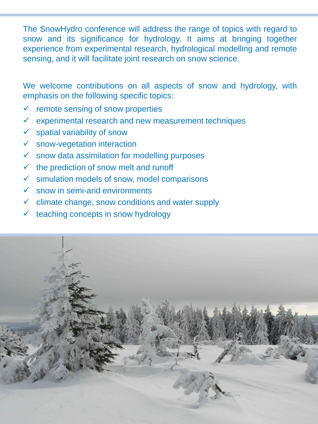The SnowHydro conference will address the range of topics with regard to snow and its significance for hydrology. It aims at bringing together experience from experimental research, hydrological modelling and remote sensing, and it will facilitate joint research on snow science.

We welcome contributions on all aspects of snow and hydrology, with emphasis on the following specific topics:

- remote sensing of snow properties
- experimental research and new measurement techniques
- $\checkmark$  spatial variability of snow
- $\checkmark$  snow-vegetation interaction
- $\checkmark$  snow data assimilation for modelling purposes
- $\checkmark$  the prediction of snow melt and runoff
- $\checkmark$  simulation models of snow, model comparisons
- $\checkmark$  snow in semi-arid environments
- $\checkmark$  climate change, snow conditions and water supply
- $\checkmark$  teaching concepts in snow hydrology